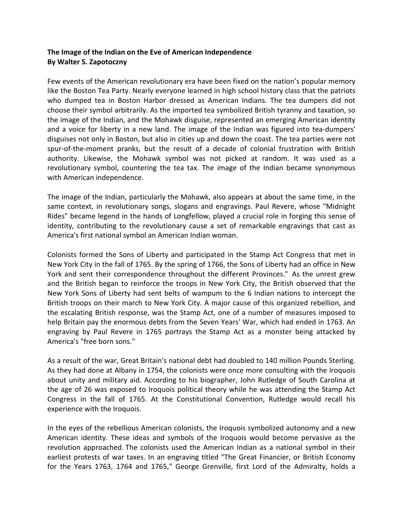## **The Image of the Indian on the Eve of American Independence By Walter S. Zapotoczny**

Few events of the American revolutionary era have been fixed on the nation's popular memory like the Boston Tea Party. Nearly everyone learned in high school history class that the patriots who dumped tea in Boston Harbor dressed as American Indians. The tea dumpers did not choose their symbol arbitrarily. As the imported tea symbolized British tyranny and taxation, so the image of the Indian, and the Mohawk disguise, represented an emerging American identity and a voice for liberty in a new land. The image of the Indian was figured into tea-dumpers' disguises not only in Boston, but also in cities up and down the coast. The tea parties were not spur-of-the-moment pranks, but the result of a decade of colonial frustration with British authority. Likewise, the Mohawk symbol was not picked at random. It was used as a revolutionary symbol, countering the tea tax. The image of the Indian became synonymous with American independence.

The image of the Indian, particularly the Mohawk, also appears at about the same time, in the same context, in revolutionary songs, slogans and engravings. Paul Revere, whose "Midnight Rides" became legend in the hands of Longfellow, played a crucial role in forging this sense of identity, contributing to the revolutionary cause a set of remarkable engravings that cast as America's first national symbol an American Indian woman.

Colonists formed the Sons of Liberty and participated in the Stamp Act Congress that met in New York City in the fall of 1765. By the spring of 1766, the Sons of Liberty had an office in New York and sent their correspondence throughout the different Provinces." As the unrest grew and the British began to reinforce the troops in New York City, the British observed that the New York Sons of Liberty had sent belts of wampum to the 6 Indian nations to intercept the British troops on their march to New York City. A major cause of this organized rebellion, and the escalating British response, was the Stamp Act, one of a number of measures imposed to help Britain pay the enormous debts from the Seven Years' War, which had ended in 1763. An engraving by Paul Revere in 1765 portrays the Stamp Act as a monster being attacked by America's "free born sons."

As a result of the war, Great Britain's national debt had doubled to 140 million Pounds Sterling. As they had done at Albany in 1754, the colonists were once more consulting with the Iroquois about unity and military aid. According to his biographer, John Rutledge of South Carolina at the age of 26 was exposed to Iroquois political theory while he was attending the Stamp Act Congress in the fall of 1765. At the Constitutional Convention, Rutledge would recall his experience with the Iroquois.

In the eyes of the rebellious American colonists, the Iroquois symbolized autonomy and a new American identity. These ideas and symbols of the Iroquois would become pervasive as the revolution approached. The colonists used the American Indian as a national symbol in their earliest protests of war taxes. In an engraving titled "The Great Financier, or British Economy for the Years 1763, 1764 and 1765," George Grenville, first Lord of the Admiralty, holds a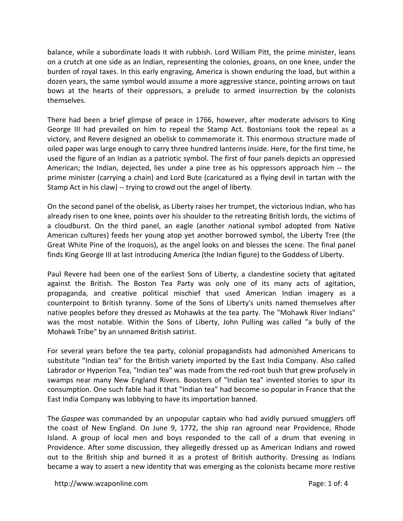balance, while a subordinate loads it with rubbish. Lord William Pitt, the prime minister, leans on a crutch at one side as an Indian, representing the colonies, groans, on one knee, under the burden of royal taxes. In this early engraving, America is shown enduring the load, but within a dozen years, the same symbol would assume a more aggressive stance, pointing arrows on taut bows at the hearts of their oppressors, a prelude to armed insurrection by the colonists themselves.

There had been a brief glimpse of peace in 1766, however, after moderate advisors to King George III had prevailed on him to repeal the Stamp Act. Bostonians took the repeal as a victory, and Revere designed an obelisk to commemorate it. This enormous structure made of oiled paper was large enough to carry three hundred lanterns inside. Here, for the first time, he used the figure of an Indian as a patriotic symbol. The first of four panels depicts an oppressed American; the Indian, dejected, lies under a pine tree as his oppressors approach him -- the prime minister (carrying a chain) and Lord Bute (caricatured as a flying devil in tartan with the Stamp Act in his claw) -- trying to crowd out the angel of liberty.

On the second panel of the obelisk, as Liberty raises her trumpet, the victorious Indian, who has already risen to one knee, points over his shoulder to the retreating British lords, the victims of a cloudburst. On the third panel, an eagle (another national symbol adopted from Native American cultures) feeds her young atop yet another borrowed symbol, the Liberty Tree (the Great White Pine of the Iroquois), as the angel looks on and blesses the scene. The final panel finds King George III at last introducing America (the Indian figure) to the Goddess of Liberty.

Paul Revere had been one of the earliest Sons of Liberty, a clandestine society that agitated against the British. The Boston Tea Party was only one of its many acts of agitation, propaganda, and creative political mischief that used American Indian imagery as a counterpoint to British tyranny. Some of the Sons of Liberty's units named themselves after native peoples before they dressed as Mohawks at the tea party. The "Mohawk River Indians" was the most notable. Within the Sons of Liberty, John Pulling was called "a bully of the Mohawk Tribe" by an unnamed British satirist.

For several years before the tea party, colonial propagandists had admonished Americans to substitute "Indian tea" for the British variety imported by the East India Company. Also called Labrador or Hyperion Tea, "Indian tea" was made from the red-root bush that grew profusely in swamps near many New England Rivers. Boosters of "Indian tea" invented stories to spur its consumption. One such fable had it that "Indian tea" had become so popular in France that the East India Company was lobbying to have its importation banned.

The *Gaspee* was commanded by an unpopular captain who had avidly pursued smugglers off the coast of New England. On June 9, 1772, the ship ran aground near Providence, Rhode Island. A group of local men and boys responded to the call of a drum that evening in Providence. After some discussion, they allegedly dressed up as American Indians and rowed out to the British ship and burned it as a protest of British authority. Dressing as Indians became a way to assert a new identity that was emerging as the colonists became more restive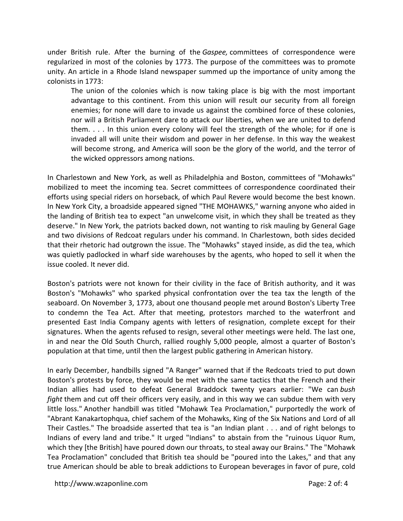under British rule. After the burning of the *Gaspee,* committees of correspondence were regularized in most of the colonies by 1773. The purpose of the committees was to promote unity. An article in a Rhode Island newspaper summed up the importance of unity among the colonists in 1773:

The union of the colonies which is now taking place is big with the most important advantage to this continent. From this union will result our security from all foreign enemies; for none will dare to invade us against the combined force of these colonies, nor will a British Parliament dare to attack our liberties, when we are united to defend them. . . . In this union every colony will feel the strength of the whole; for if one is invaded all will unite their wisdom and power in her defense. In this way the weakest will become strong, and America will soon be the glory of the world, and the terror of the wicked oppressors among nations.

In Charlestown and New York, as well as Philadelphia and Boston, committees of "Mohawks" mobilized to meet the incoming tea. Secret committees of correspondence coordinated their efforts using special riders on horseback, of which Paul Revere would become the best known. In New York City, a broadside appeared signed "THE MOHAWKS," warning anyone who aided in the landing of British tea to expect "an unwelcome visit, in which they shall be treated as they deserve." In New York, the patriots backed down, not wanting to risk mauling by General Gage and two divisions of Redcoat regulars under his command. In Charlestown, both sides decided that their rhetoric had outgrown the issue. The "Mohawks" stayed inside, as did the tea, which was quietly padlocked in wharf side warehouses by the agents, who hoped to sell it when the issue cooled. It never did.

Boston's patriots were not known for their civility in the face of British authority, and it was Boston's "Mohawks" who sparked physical confrontation over the tea tax the length of the seaboard. On November 3, 1773, about one thousand people met around Boston's Liberty Tree to condemn the Tea Act. After that meeting, protestors marched to the waterfront and presented East India Company agents with letters of resignation, complete except for their signatures. When the agents refused to resign, several other meetings were held. The last one, in and near the Old South Church, rallied roughly 5,000 people, almost a quarter of Boston's population at that time, until then the largest public gathering in American history.

In early December, handbills signed "A Ranger" warned that if the Redcoats tried to put down Boston's protests by force, they would be met with the same tactics that the French and their Indian allies had used to defeat General Braddock twenty years earlier: "We can *bush fight* them and cut off their officers very easily, and in this way we can subdue them with very little loss." Another handbill was titled "Mohawk Tea Proclamation," purportedly the work of "Abrant Kanakartophqua, chief sachem of the Mohawks, King of the Six Nations and Lord of all Their Castles." The broadside asserted that tea is "an Indian plant . . . and of right belongs to Indians of every land and tribe." It urged "Indians" to abstain from the "ruinous Liquor Rum, which they [the British] have poured down our throats, to steal away our Brains." The "Mohawk Tea Proclamation" concluded that British tea should be "poured into the Lakes," and that any true American should be able to break addictions to European beverages in favor of pure, cold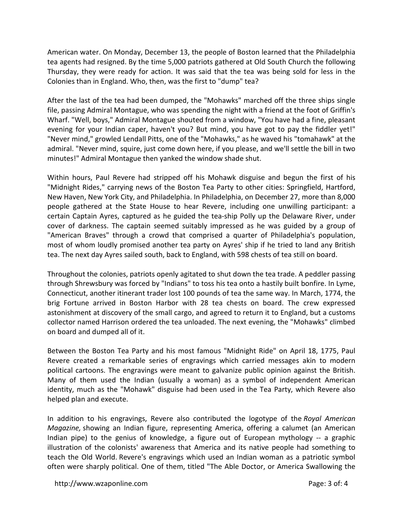American water. On Monday, December 13, the people of Boston learned that the Philadelphia tea agents had resigned. By the time 5,000 patriots gathered at Old South Church the following Thursday, they were ready for action. It was said that the tea was being sold for less in the Colonies than in England. Who, then, was the first to "dump" tea?

After the last of the tea had been dumped, the "Mohawks" marched off the three ships single file, passing Admiral Montague, who was spending the night with a friend at the foot of Griffin's Wharf. "Well, boys," Admiral Montague shouted from a window, "You have had a fine, pleasant evening for your Indian caper, haven't you? But mind, you have got to pay the fiddler yet!" "Never mind," growled Lendall Pitts, one of the "Mohawks," as he waved his "tomahawk" at the admiral. "Never mind, squire, just come down here, if you please, and we'll settle the bill in two minutes!" Admiral Montague then yanked the window shade shut.

Within hours, Paul Revere had stripped off his Mohawk disguise and begun the first of his "Midnight Rides," carrying news of the Boston Tea Party to other cities: Springfield, Hartford, New Haven, New York City, and Philadelphia. In Philadelphia, on December 27, more than 8,000 people gathered at the State House to hear Revere, including one unwilling participant: a certain Captain Ayres, captured as he guided the tea-ship Polly up the Delaware River, under cover of darkness. The captain seemed suitably impressed as he was guided by a group of "American Braves" through a crowd that comprised a quarter of Philadelphia's population, most of whom loudly promised another tea party on Ayres' ship if he tried to land any British tea. The next day Ayres sailed south, back to England, with 598 chests of tea still on board.

Throughout the colonies, patriots openly agitated to shut down the tea trade. A peddler passing through Shrewsbury was forced by "Indians" to toss his tea onto a hastily built bonfire. In Lyme, Connecticut, another itinerant trader lost 100 pounds of tea the same way. In March, 1774, the brig Fortune arrived in Boston Harbor with 28 tea chests on board. The crew expressed astonishment at discovery of the small cargo, and agreed to return it to England, but a customs collector named Harrison ordered the tea unloaded. The next evening, the "Mohawks" climbed on board and dumped all of it.

Between the Boston Tea Party and his most famous "Midnight Ride" on April 18, 1775, Paul Revere created a remarkable series of engravings which carried messages akin to modern political cartoons. The engravings were meant to galvanize public opinion against the British. Many of them used the Indian (usually a woman) as a symbol of independent American identity, much as the "Mohawk" disguise had been used in the Tea Party, which Revere also helped plan and execute.

In addition to his engravings, Revere also contributed the logotype of the *Royal American Magazine,* showing an Indian figure, representing America, offering a calumet (an American Indian pipe) to the genius of knowledge, a figure out of European mythology -- a graphic illustration of the colonists' awareness that America and its native people had something to teach the Old World. Revere's engravings which used an Indian woman as a patriotic symbol often were sharply political. One of them, titled "The Able Doctor, or America Swallowing the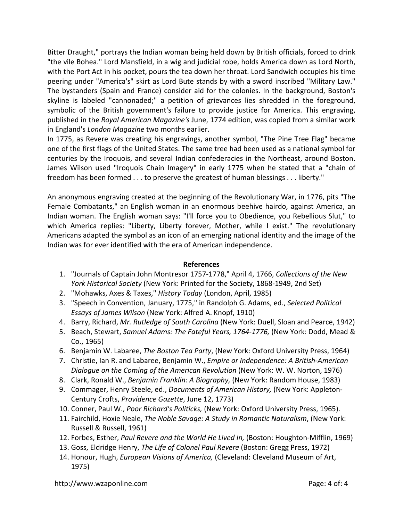Bitter Draught," portrays the Indian woman being held down by British officials, forced to drink "the vile Bohea." Lord Mansfield, in a wig and judicial robe, holds America down as Lord North, with the Port Act in his pocket, pours the tea down her throat. Lord Sandwich occupies his time peering under "America's" skirt as Lord Bute stands by with a sword inscribed "Military Law." The bystanders (Spain and France) consider aid for the colonies. In the background, Boston's skyline is labeled "cannonaded;" a petition of grievances lies shredded in the foreground, symbolic of the British government's failure to provide justice for America. This engraving, published in the *Royal American Magazine's* June, 1774 edition, was copied from a similar work in England's *London Magazine* two months earlier.

In 1775, as Revere was creating his engravings, another symbol, "The Pine Tree Flag" became one of the first flags of the United States. The same tree had been used as a national symbol for centuries by the Iroquois, and several Indian confederacies in the Northeast, around Boston. James Wilson used "Iroquois Chain Imagery" in early 1775 when he stated that a "chain of freedom has been formed . . . to preserve the greatest of human blessings . . . liberty."

An anonymous engraving created at the beginning of the Revolutionary War, in 1776, pits "The Female Combatants," an English woman in an enormous beehive hairdo, against America, an Indian woman. The English woman says: "I'll force you to Obedience, you Rebellious Slut," to which America replies: "Liberty, Liberty forever, Mother, while I exist." The revolutionary Americans adapted the symbol as an icon of an emerging national identity and the image of the Indian was for ever identified with the era of American independence.

## **References**

- 1. "Journals of Captain John Montresor 1757-1778," April 4, 1766, *Collections of the New York Historical Society* (New York: Printed for the Society, 1868-1949, 2nd Set)
- 2. "Mohawks, Axes & Taxes," *History Today* (London, April, 1985)
- 3. "Speech in Convention, January, 1775," in Randolph G. Adams, ed., *Selected Political Essays of James Wilson* (New York: Alfred A. Knopf, 1910)
- 4. Barry, Richard, *Mr. Rutledge of South Carolina* (New York: Duell, Sloan and Pearce, 1942)
- 5. Beach, Stewart, *Samuel Adams: The Fateful Years, 1764-1776,* (New York: Dodd, Mead & Co., 1965)
- 6. Benjamin W. Labaree, *The Boston Tea Party*, (New York: Oxford University Press, 1964)
- 7. Christie, Ian R. and Labaree, Benjamin W., *Empire or Independence: A British-American Dialogue on the Coming of the American Revolution* (New York: W. W. Norton, 1976)
- 8. Clark, Ronald W., *Benjamin Franklin: A Biography,* (New York: Random House, 1983)
- 9. Commager, Henry Steele, ed., *Documents of American History,* (New York: Appleton-Century Crofts, *Providence Gazette*, June 12, 1773)
- 10. Conner, Paul W., *Poor Richard's Politicks,* (New York: Oxford University Press, 1965).
- 11. Fairchild, Hoxie Neale, *The Noble Savage: A Study in Romantic Naturalism*, (New York: Russell & Russell, 1961)
- 12. Forbes, Esther, *Paul Revere and the World He Lived In,* (Boston: Houghton-Mifflin, 1969)
- 13. Goss, Eldridge Henry, *The Life of Colonel Paul Revere* (Boston: Gregg Press, 1972)
- 14. Honour, Hugh, *European Visions of America,* (Cleveland: Cleveland Museum of Art, 1975)